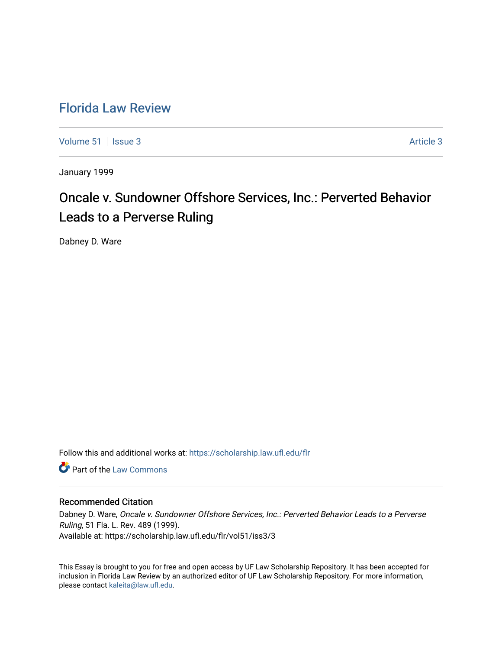## [Florida Law Review](https://scholarship.law.ufl.edu/flr)

[Volume 51](https://scholarship.law.ufl.edu/flr/vol51) | [Issue 3](https://scholarship.law.ufl.edu/flr/vol51/iss3) Article 3

January 1999

# Oncale v. Sundowner Offshore Services, Inc.: Perverted Behavior Leads to a Perverse Ruling

Dabney D. Ware

Follow this and additional works at: [https://scholarship.law.ufl.edu/flr](https://scholarship.law.ufl.edu/flr?utm_source=scholarship.law.ufl.edu%2Fflr%2Fvol51%2Fiss3%2F3&utm_medium=PDF&utm_campaign=PDFCoverPages)

**C** Part of the [Law Commons](http://network.bepress.com/hgg/discipline/578?utm_source=scholarship.law.ufl.edu%2Fflr%2Fvol51%2Fiss3%2F3&utm_medium=PDF&utm_campaign=PDFCoverPages)

### Recommended Citation

Dabney D. Ware, Oncale v. Sundowner Offshore Services, Inc.: Perverted Behavior Leads to a Perverse Ruling, 51 Fla. L. Rev. 489 (1999). Available at: https://scholarship.law.ufl.edu/flr/vol51/iss3/3

This Essay is brought to you for free and open access by UF Law Scholarship Repository. It has been accepted for inclusion in Florida Law Review by an authorized editor of UF Law Scholarship Repository. For more information, please contact [kaleita@law.ufl.edu](mailto:kaleita@law.ufl.edu).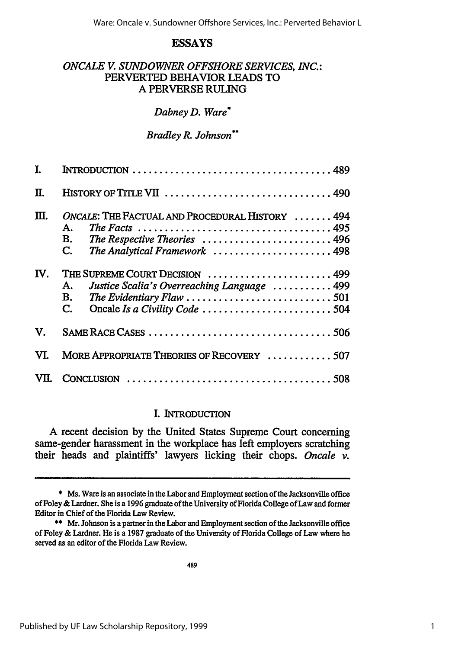### **ESSAYS**

### *ONCALE V. SUNDOWNER OFFSHORE SERVICES, INC.:* PERVERTED BEHAVIOR **LEADS** TO **A** PERVERSE **RULING**

#### *Dabney D. Ware\**

#### *Bradley R. Johnson\*\**

| I.  |                                                                                                                                    |
|-----|------------------------------------------------------------------------------------------------------------------------------------|
| Π.  |                                                                                                                                    |
| Ш.  | ONCALE: THE FACTUAL AND PROCEDURAL HISTORY  494<br>А.<br>The Respective Theories  496<br>В.<br>C.<br>The Analytical Framework  498 |
| IV. | THE SUPREME COURT DECISION  499<br>Justice Scalia's Overreaching Language  499<br>А.<br>В.<br>$\mathbf{C}$ .                       |
| V.  |                                                                                                                                    |
| VI. | MORE APPROPRIATE THEORIES OF RECOVERY 507                                                                                          |
|     |                                                                                                                                    |

### **I. INTRODUCTION**

**A** recent decision **by** the United States Supreme Court concerning same-gender harassment in the workplace has left employers scratching their heads and plaintiffs' lawyers licking their chops. *Oncale v.*

**<sup>\*</sup>** Ms. Ware is an associate in the Labor and Employment section of the Jacksonville office of Foley & Lardner. She is a 1996 graduate of the University of Florida College of Law and former Editor in Chief of the Florida Law Review.

<sup>\*\*</sup> Mr. Johnson is a partner in the Labor and Employment section of the Jacksonville office of Foley & Lardner. He is a 1987 graduate of the University of Florida College of Law where he served as an editor of the Florida Law Review.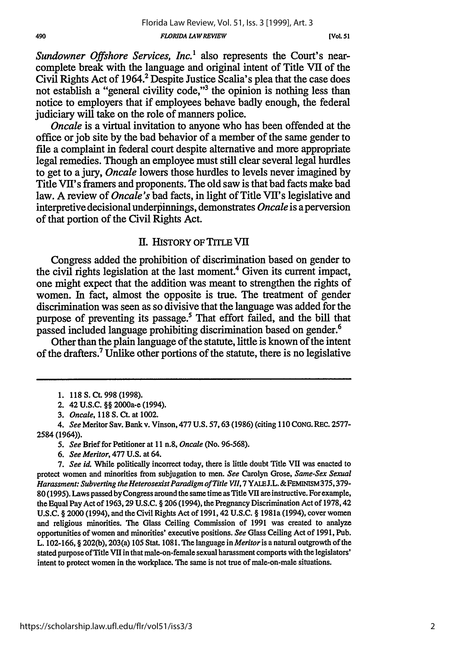*Sundowner Offshore Services, Inc.<sup>1</sup>* also represents the Court's nearcomplete break with the language and original intent of Title VII of the Civil Rights Act of 1964.<sup>2</sup> Despite Justice Scalia's plea that the case does not establish a "general civility code,"3 the opinion is nothing less than notice to employers that if employees behave badly enough, the federal judiciary will take on the role of manners police.

*Oncale* is a virtual invitation to anyone who has been offended at the office or job site **by** the bad behavior of a member of the same gender to file a complaint in federal court despite alternative and more appropriate legal remedies. Though an employee must still clear several legal hurdles to get to a jury, *Oncale* lowers those hurdles to levels never imagined **by** Title VII's framers and proponents. The old saw is that bad facts make bad law. **A** review of *Oncale's* bad facts, in light of Title VII's legislative and interpretive decisional underpinnings, demonstrates *Oncale* is a perversion of that portion of the Civil Rights Act.

### **I1.** HISTORY OF TITLE VII

Congress added the prohibition of discrimination based on gender to the civil rights legislation at the last moment.' Given its current impact, one might expect that the addition was meant to strengthen the rights of women. In fact, almost the opposite is true. The treatment of gender discrimination was seen as so divisive that the language was added for the purpose of preventing its passage.<sup>5</sup> That effort failed, and the bill that passed included language prohibiting discrimination based on gender.<sup>6</sup>

Other than the plain language of the statute, little is known of the intent of the drafters.7 Unlike other portions of the statute, there is no legislative

*5. See* Brief for Petitioner at 11 n.8, *Oncale* (No. 96-568).

**<sup>1.</sup>** 118 **S. Ct. 998 (1998).**

<sup>2. 42</sup> **U.S.C.** *§* 2000a-e (1994).

*<sup>3.</sup> Oncale,* 118 **S. Ct.** at 1002.

*<sup>4.</sup> See* Meritor Say. Bank v. Vinson, 477 U.S. 57,63 (1986) (citing 110 CONG. REC. 2577- 2584 (1964)).

*<sup>6.</sup> See Meritor,* 477 U.S. at 64.

*<sup>7.</sup> See id.* While politically incorrect today, there is little doubt Title VU was enacted to protect women and minorities from subjugation to men. *See* Carolyn Grose, *Same-Sex Sexual* Harassment: Subverting the Heterosexist Paradigm of Title VII, 7 YALE J.L. & FEMINISM 375, 379-80 (1995). Laws passed **by** Congress around the same time as Title VII areinstructive. For example, the Equal Pay Act of 1963, 29 U.S.C. § 206 (1994), the Pregnancy Discrimination Act of 1978,42 **U.S.C.** § 2000 (1994), and the Civil Rights Act of 1991, 42 U.S.C. § 1981a (1994), cover women and religious minorities. The Glass Ceiling Commission of 1991 was created to analyze opportunities of women and minorities' executive positions. *See* Glass Ceiling Act of 1991, Pub. L. 102-166, § 202(b), 203(a) 105 Stat. 1081. The language in *Meritoris* a natural outgrowth of the stated purpose of Title VII in that male-on-female sexual harassment comports with the legislators' intent to protect women in the workplace. The same is not true of male-on-male situations.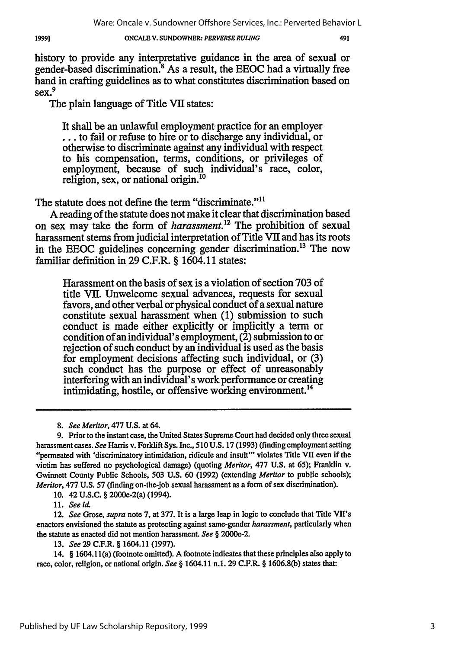#### 19991

#### ONCAIE **V. SUNDOWNER."** *PERVERSE RULING*

491

history to provide any interpretative guidance in the area of sexual or gender-based discrimination.<sup>8</sup> As a result, the EEOC had a virtually free hand in crafting guidelines as to what constitutes discrimination based on  $sec<sup>9</sup>$ 

The plain language of Title VII states:

It shall be an unlawful employment practice for an employer **...** to fail or refuse to hire or to discharge any individual, or otherwise to discriminate against any individual with respect to his compensation, terms, conditions, or privileges of employment, because of such individual's race, color, religion, sex, or national origin.'<sup>0</sup>

The statute does not define the term "discriminate."<sup>11</sup>

A reading of the statute does not make it clear that discrimination based on sex may take the form of *harassment*.<sup>12</sup> The prohibition of sexual harassment stems from judicial interpretation of Title VII and has its roots in the EEOC guidelines concerning gender discrimination. 13 The now familiar definition in 29 C.F.R. § 1604.11 states:

Harassment on the basis of sex is a violation of section 703 of title VII. Unwelcome sexual advances, requests for sexual favors, and other verbal or physical conduct of a sexual nature constitute sexual harassment when (1) submission to such conduct is made either explicitly or implicitly a term or condition of an individual's employment, (2) submission to or rejection of such conduct by an individual is used as the basis for employment decisions affecting such individual, or (3) such conduct has the purpose or effect of unreasonably interfering with an individual's work performance or creating intimidating, hostile, or offensive working environment.<sup>14</sup>

**10.** 42 **U.S.C.** § 2000e-2(a) (1994).

11. *See id.*

12. *See* Grose, *supra* note 7, at 377. It is a large leap in logic to conclude that Title VII's enactors envisioned the statute as protecting against same-gender *harassment,* particularly when the statute as enacted did not mention harassment. *See §* 2000e-2.

13. *See* 29 C.F.R. § 1604.11 (1997).

14. § 1604.1 l(a) (footnote omitted). A footnote indicates that these principles also apply to race, color, religion, or national origin. *See §* 1604.11 n.1. **29** C.F.R. § 1606.8(b) states that:

**<sup>8.</sup>** *See Meritor,* 477 U.S. at 64.

**<sup>9.</sup>** Prior to the instant case, the United States Supreme Court had decided only three sexual harassment cases. *See* Harris v. Forklift Sys. Inc., **510** U.S. 17 (1993) (finding employment setting "permeated with 'discriminatory intimidation, ridicule and insult'" violates Title VII even if the victim has suffered no psychological damage) (quoting *Meritor,* 477 U.S. at 65); Franklin v. Gwinnett County Public Schools, **503** U.S. 60 (1992) (extending *Meritor* to public schools); *Meritor,* 477 **U.S.** 57 (finding on-the-job sexual harassment as a form of sex discrimination).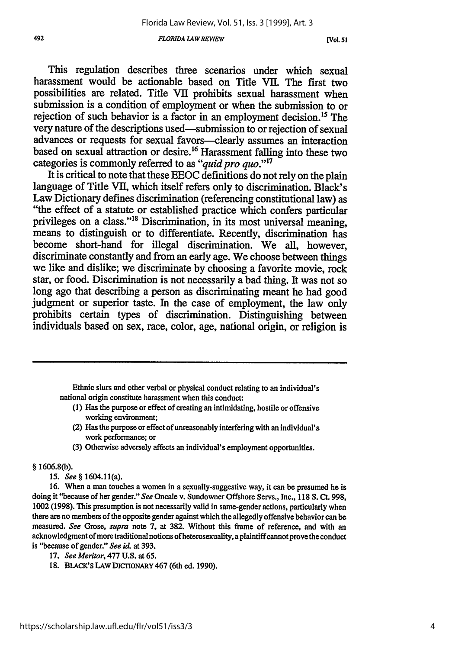#### *FLORIDA LAWREVIEW*

**[Vol 51**

This regulation describes three scenarios under which sexual harassment would be actionable based on Title VII. The first two possibilities are related. Title VII prohibits sexual harassment when submission is a condition of employment or when the submission to or rejection of such behavior is a factor in an employment decision.<sup>15</sup> The very nature of the descriptions used—submission to or rejection of sexual advances or requests for sexual favors-clearly assumes an interaction based on sexual attraction or desire.<sup>16</sup> Harassment falling into these two categories is commonly referred to as "*quid pro quo.*"<sup>17</sup>

It is critical to note that these EEOC definitions do not rely on the plain language of Title VII, which itself refers only to discrimination. Black's Law Dictionary defines discrimination (referencing constitutional law) as "the effect of a statute or established practice which confers particular privileges on a class."<sup>18</sup> Discrimination, in its most universal meaning, means to distinguish or to differentiate. Recently, discrimination has become short-hand for illegal discrimination. We all, however, discriminate constantly and from an early age. We choose between things we like and dislike; we discriminate by choosing a favorite movie, rock star, or food. Discrimination is not necessarily a bad thing. It was not so long ago that describing a person as discriminating meant he had good judgment or superior taste. In the case of employment, the law only prohibits certain types of discrimination. Distinguishing between individuals based on sex, race, color, age, national origin, or religion is

Ethnic slurs and other verbal or physical conduct relating to an individual's national origin constitute harassment when this conduct:

- **(1)** Has the purpose or effect of creating an intimidating, hostile or offensive working environment;
- (2) Has the purpose or effect of unreasonably interfering with an individual's work performance; or
- (3) Otherwise adversely affects an individual's employment opportunities.

#### § 1606.8(b).

*15. See §* 1604.11(a).

16. When a man touches a women in a sexually-suggestive way, it can be presumed he is doing it "because of her gender." *See* Oncale v. Sundowner Offshore Servs., Inc., **118 S.** Ct. 998, 1002 (1998). This presumption is not necessarily valid in same-gender actions, particularly when there are no members of the opposite gender against which the allegedly offensive behavior can be measured. *See* Grose, *supra* note 7, at 382. Without this frame of reference, and with an acknowledgment of more traditional notions of heterosexuality, a plaintiffeannot prove the conduct is "because of gender." *See id.* at 393.

- **17.** *See Meritor,* 477 **U.S.** at 65.
- **18.** BLACK'S **LAW DICTIONARY** 467 (6th ed. **1990).**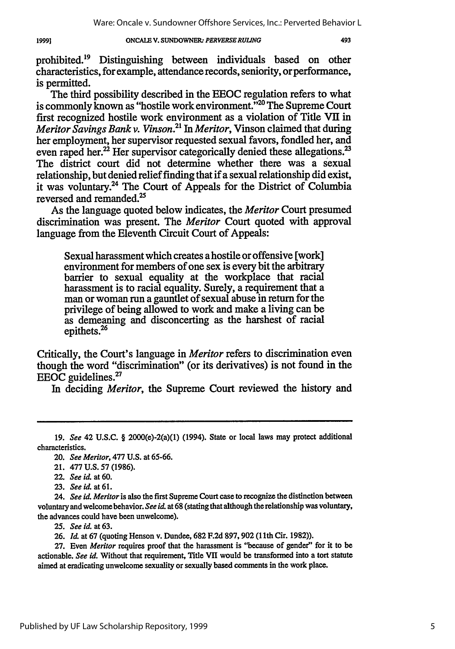#### **ONCAIE V. SUNDOWNER.-** *PERVERSERULING* 19991

prohibited.19 Distinguishing between individuals based on other characteristics, for example, attendance records, seniority, or performance, is permitted.

The third possibility described in the EEOC regulation refers to what is commonly known as "hostile work environment."<sup>20</sup> The Supreme Court first recognized hostile work environment as a violation of Title VII in *Meritor Savings Bank v. Vinson.21 In Meritor,* Vinson claimed that during her employment, her supervisor requested sexual favors, fondled her, and even raped her.<sup>22</sup> Her supervisor categorically denied these allegations.<sup>23</sup> The district court did not determine whether there was a sexual relationship, but denied relief finding that if a sexual relationship did exist, it was voluntary.<sup>24</sup> The Court of Appeals for the District of Columbia reversed and remanded.<sup>25</sup>

As the language quoted below indicates, the *Meritor* Court presumed discrimination was present. The *Meritor* Court quoted with approval language from the Eleventh Circuit Court of Appeals:

Sexual harassment which creates a hostile or offensive [work] environment for members of one sex is every bit the arbitrary barrier to sexual equality at the workplace that racial harassment is to racial equality. Surely, a requirement that a man or woman run a gauntlet of sexual abuse in return for the privilege of being allowed to work and make a living can be as demeaning and disconcerting as the harshest of racial epithets.

Critically, the Court's language in *Meritor* refers to discrimination even though the word "discrimination" (or its derivatives) is not found in the EEOC guidelines.<sup>27</sup>

In deciding *Meritor,* the Supreme Court reviewed the history and

**25.** *See id.* at 63.

<sup>19.</sup> *See* 42 U.S.C. § 2000(e)-2(a)(1) (1994). State or local laws may protect additional characteristics.

<sup>20.</sup> *See Meritor,* **477 U.S.** at **65-66.**

<sup>21.</sup> **477 U.S. 57 (1986).**

<sup>22.</sup> *See id.* at **60.**

**<sup>23.</sup>** *See id.* at **61.**

*<sup>24.</sup> See id. Meritor* is also the first Supreme Court case to recognize the distinction between voluntary and welcome behavior. *See id.* at 68 (stating that although the relationship was voluntary, the advances could have been unwelcome).

**<sup>26.</sup>** *Id.* at 67 (quoting Henson v. Dundee, **682** F.2d 897,902 (lth Cir. 1982)).

**<sup>27.</sup>** Even *Meitor* requires proof that the harassment is "because of gender" for it to be actionable. *See id.* Without that requirement, Title VII would be transformed into a tort statute aimed at eradicating unwelcome sexuality or sexually based comments in the work place.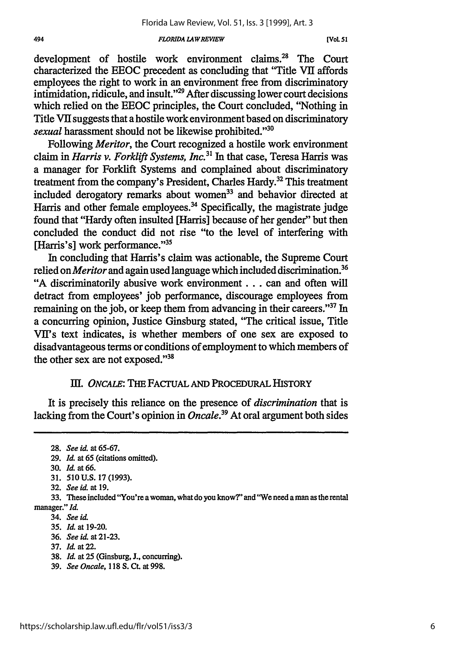#### **494** *FLORIDA LAW REVLEW* **[VOL 51**

development of hostile work environment claims.<sup>28</sup> The Court characterized the EEOC precedent as concluding that "Title VII affords employees the right to work in an environment free from discriminatory intimidation, ridicule, and insult."<sup>29</sup> After discussing lower court decisions which relied on the EEOC principles, the Court concluded, "Nothing in Title VII suggests that a hostile work environment based on discriminatory *sexual* harassment should not be likewise prohibited."<sup>30</sup>

Following *Meritor,* the Court recognized a hostile work environment claim in *Harris v. Forklift Systems, Inc.31* In that case, Teresa Harris was a manager for Forklift Systems and complained about discriminatory treatment from the company's President, Charles Hardy.<sup>32</sup> This treatment included derogatory remarks about women<sup>33</sup> and behavior directed at Harris and other female employees.<sup>34</sup> Specifically, the magistrate judge found that "Hardy often insulted [Harris] because of her gender" but then concluded the conduct did not rise "to the level of interfering with [Harris's] work performance."<sup>35</sup>

In concluding that Harris's claim was actionable, the Supreme Court relied on *Meritor* and again used language which included discrimination.36 "A discriminatorily abusive work environment.., can and often will detract from employees' job performance, discourage employees from remaining on the job, or keep them from advancing in their careers."<sup>37</sup> In a concurring opinion, Justice Ginsburg stated, "The critical issue, Title VII's text indicates, is whether members of one sex are exposed to disadvantageous terms or conditions of employment to which members of the other sex are not exposed."<sup>38</sup>

### *1II.* ONcALE: THE **FACTUAL AND PROCEDURAL HISTORY**

It is precisely this reliance on the presence of *discrimination* that is lacking from the Court's opinion in *Oncale.39* At oral argument both sides

- 36. *See id* at **21-23.**
- 37. Id. at 22.
- 38. *Id.* at **25** (Ginsburg, **J.,** concurring).
- 39. *See Oncale,* 118 **S. Ct.** at 998.

<sup>28.</sup> *See* id. at 65-67.

<sup>29.</sup> *Id.* at 65 (citations omitted).

<sup>30.</sup> Id. at **66.**

<sup>31. 510</sup> U.S. 17 (1993).

**<sup>32.</sup>** *See id.* at 19.

<sup>33.</sup> These included "You're a woman, what do you know?" and "We need a man as the rental manager." *Id.*

<sup>34.</sup> *See* iL

<sup>35.</sup> *Il* at 19-20.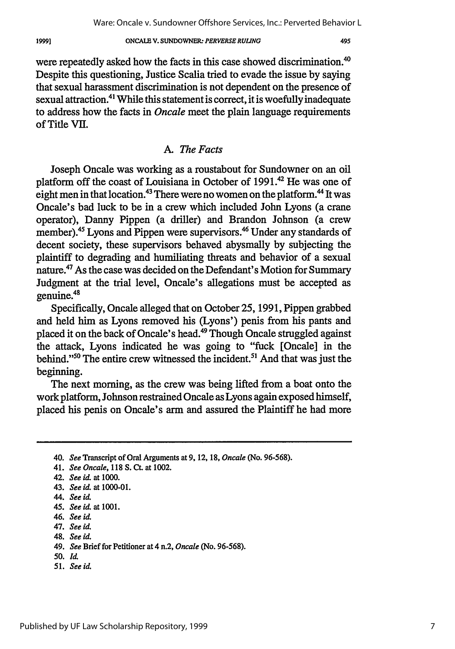19991

#### **ONCALE V. SUNDOWNER.** *PERVERSE RULING*

were repeatedly asked how the facts in this case showed discrimination.<sup>40</sup> Despite this questioning, Justice Scalia tried to evade the issue by saying that sexual harassment discrimination is not dependent on the presence of sexual attraction.<sup>41</sup> While this statement is correct, it is woefully inadequate to address how the facts in *Oncale* meet the plain language requirements of Title VII.

### *A. The Facts*

Joseph Oncale was working as a roustabout for Sundowner on an oil platform off the coast of Louisiana in October of 1991.42 He was one of eight men in that location.<sup>43</sup> There were no women on the platform.<sup>44</sup> It was Oncale's bad luck to be in a crew which included John Lyons (a crane operator), Danny Pippen (a driller) and Brandon Johnson (a crew member).<sup>45</sup> Lyons and Pippen were supervisors.<sup>46</sup> Under any standards of decent society, these supervisors behaved abysmally by subjecting the plaintiff to degrading and humiliating threats and behavior of a sexual nature.<sup>47</sup> As the case was decided on the Defendant's Motion for Summary Judgment at the trial level, Oncale's allegations must be accepted as **<sup>48</sup>** genuine.

Specifically, Oncale alleged that on October 25, 1991, Pippen grabbed and held him as Lyons removed his (Lyons') penis from his pants and placed it on the back of Oncale's head.49 Though Oncale struggled against the attack, Lyons indicated he was going to "fuck [Oncale] in the behind."<sup>50</sup> The entire crew witnessed the incident.<sup>51</sup> And that was just the beginning.

The next morning, as the crew was being lifted from a boat onto the work platform, Johnson restrained Oncale as Lyons again exposed himself, placed his penis on Oncale's arm and assured the Plaintiff he had more

- *50.* ld.
- *51. See id.*

<sup>40.</sup> *See* Transcript of Oral Arguments at 9, 12, 18, *Oncale* (No. 96-568).

<sup>41.</sup> *See Oncale,* 118 **S.** Ct. at 1002.

<sup>42.</sup> *See id. at* **1000.**

<sup>43.</sup> *See* id. at 1000-01.

<sup>44.</sup> *See* **id.**

*<sup>45.</sup> See id.* at **1001.**

<sup>46.</sup> *See id*

<sup>47.</sup> *See id.*

<sup>48.</sup> *See id.*

<sup>49.</sup> *See* Brief for Petitioner at 4 n.2, *Oncale* (No. 96-568).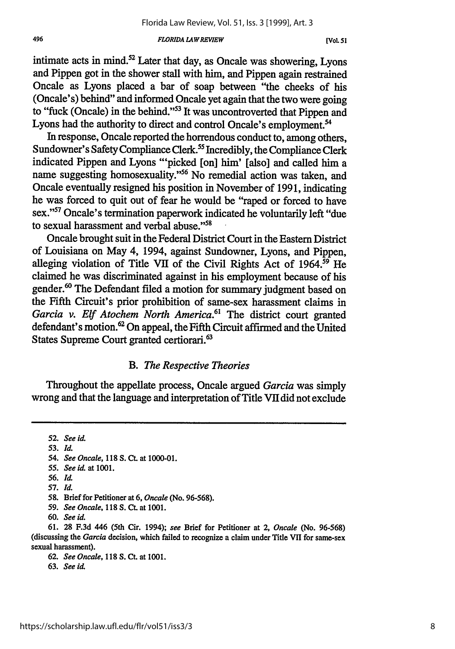#### *FLORIDA LA WREVIEW*

intimate acts in mind. $52$  Later that day, as Oncale was showering, Lyons and Pippen got in the shower stall with him, and Pippen again restrained Oncale as Lyons placed a bar of soap between "the cheeks of his (Oncale's) behind" and informed Oncale yet again that the two were going to "fuck (Oncale) in the behind."<sup>53</sup> It was uncontroverted that Pippen and Lyons had the authority to direct and control Oncale's employment.<sup>54</sup>

In response, Oncale reported the horrendous conduct to, among others, Sundowner's Safety Compliance Clerk.<sup>55</sup> Incredibly, the Compliance Clerk indicated Pippen and Lyons "'picked [on] him' [also] and called him a name suggesting homosexuality."<sup>56</sup> No remedial action was taken, and Oncale eventually resigned his position in November of 1991, indicating he was forced to quit out of fear he would be "raped or forced to have sex."<sup>57</sup> Oncale's termination paperwork indicated he voluntarily left "due to sexual harassment and verbal abuse."<sup>58</sup>

Oncale brought suit in the Federal District Court in the Eastern District of Louisiana on May 4, 1994, against Sundowner, Lyons, and Pippen, alleging violation of Title VII of the Civil Rights Act of 1964.<sup>59</sup> He claimed he was discriminated against in his employment because of his gender.<sup>60</sup> The Defendant filed a motion for summary judgment based on the Fifth Circuit's prior prohibition of same-sex harassment claims in *Garcia v. Elf Atochem North America.61* The district court granted defendant's motion.62 On appeal, the Fifth Circuit affirmed and the United States Supreme Court granted certiorari.<sup>63</sup>

### *B. The Respective Theories*

Throughout the appellate process, Oncale argued *Garcia* was simply wrong and that the language and interpretation of Title VII did not exclude

52. *See id.*

**53.** *Id.*

54. *See Oncale,* **118 S. Ct.** at **1000-01.**

- **56.** *Id.*
- **57.** *Id.*

- 59. *See Oncale,* 118 **S. CL** at 1001.
- **60.** *See id.*

61. **28** F.3d 446 (5th Cir. 1994); *see* Brief for Petitioner at 2, *Oncale* (No. 96-568) (discussing the *Garcia* decision, which failed to recognize a claim under Title VII for same-sex sexual harassment).

**62.** *See Oncale,* 118 **S.** Ct. at 1001.

63. *See id.*

*<sup>55.</sup> See id.* at **1001.**

<sup>58.</sup> Brief for Petitioner at 6, *Oncale* (No. 96-568).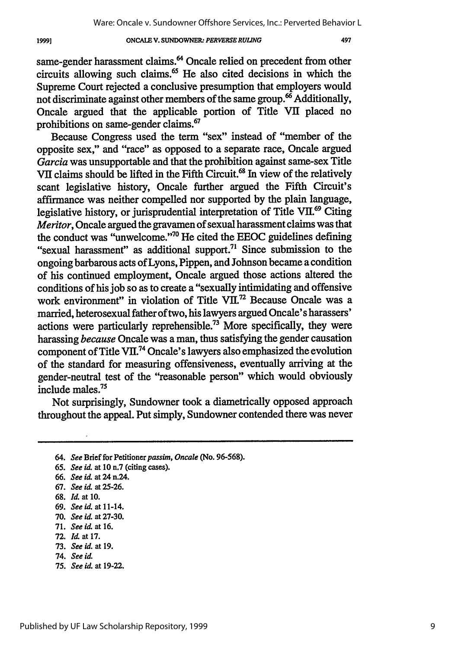#### **ONCAIE V. SUNDOWNER** *PERVERSE RULING*

same-gender harassment claims.<sup>64</sup> Oncale relied on precedent from other circuits allowing such claims. $<sup>65</sup>$  He also cited decisions in which the</sup> Supreme Court rejected a conclusive presumption that employers would not discriminate against other members of the same group.<sup>66</sup> Additionally, Oncale argued that the applicable portion of Title VII placed no prohibitions on same-gender claims.<sup>67</sup>

Because Congress used the term "sex" instead of "member of the opposite sex," and "race" as opposed to a separate race, Oncale argued *Garcia* was unsupportable and that the prohibition against same-sex Title VII claims should be lifted in the Fifth Circuit.<sup>68</sup> In view of the relatively scant legislative history, Oncale further argued the Fifth Circuit's affirmance was neither compelled nor supported by the plain language, legislative history, or jurisprudential interpretation of Title VII.<sup>69</sup> Citing *Meritor*, Oncale argued the gravamen of sexual harassment claims was that the conduct was "unwelcome."<sup>70</sup> He cited the EEOC guidelines defining "sexual harassment" as additional support.<sup>71</sup> Since submission to the ongoing barbarous acts of Lyons, Pippen, and Johnson became a condition of his continued employment, Oncale argued those actions altered the conditions of his job so as to create a "sexually intimidating and offensive work environment" in violation of Title VII.<sup>72</sup> Because Oncale was a married, heterosexual father of two, his lawyers argued Oncale's harassers' actions were particularly reprehensible.<sup>73</sup> More specifically, they were harassing *because* Oncale was a man, thus satisfying the gender causation component of Title VII.<sup>74</sup> Oncale's lawyers also emphasized the evolution of the standard for measuring offensiveness, eventually arriving at the gender-neutral test of the "reasonable person" which would obviously include males.75

Not surprisingly, Sundowner took a diametrically opposed approach throughout the appeal. Put simply, Sundowner contended there was never

- 64. *See* Brief for Petitioner passim, Oncale (No. 96-568).
- 65. *See* id. at 10 n.7 (citing cases).
- 66. *See id at* 24 n.24.
- 67. *See* id. at 25-26.
- **68.** *Id.* at **10.**

1999]

- 69. *See id.* at 11-14.
- **70.** *See id.* at 27-30.
- 71. *See* id *at* **16.**
- 72. *Id* at 17.
- 73. *See id.* at 19.
- 74. *See* id.
- 75. *See id.* at 19-22.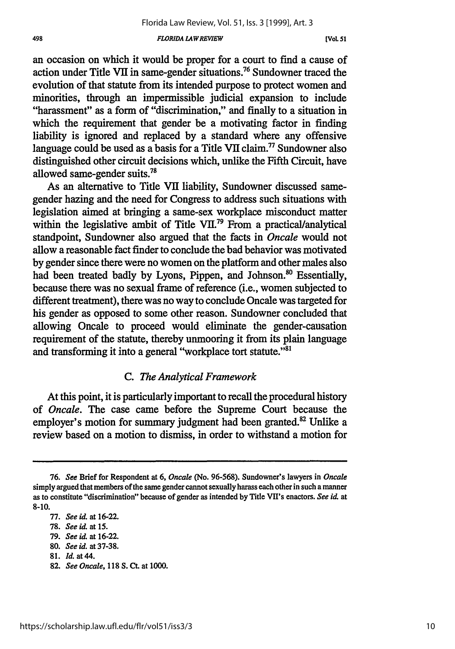#### *FLORIDA LAWREWEW*

an occasion on which it would be proper for a court to find a cause of action under Title VII in same-gender situations.76 Sundowner traced the evolution of that statute from its intended purpose to protect women and minorities, through an impermissible judicial expansion to include "harassment" as a form of "discrimination," and finally to a situation in which the requirement that gender be a motivating factor in finding liability is ignored and replaced by a standard where any offensive language could be used as a basis for a Title VII claim." Sundowner also distinguished other circuit decisions which, unlike the Fifth Circuit, have allowed same-gender suits.<sup>7</sup>

As an alternative to Title **VII** liability, Sundowner discussed samegender hazing and the need for Congress to address such situations with legislation aimed at bringing a same-sex workplace misconduct matter within the legislative ambit of Title VII.<sup>79</sup> From a practical/analytical standpoint, Sundowner also argued that the facts in *Oncale* would not allow a reasonable fact finder to conclude the bad behavior was motivated by gender since there were no women on the platform and other males also had been treated badly by Lyons, Pippen, and Johnson.<sup>80</sup> Essentially, because there was no sexual frame of reference (i.e., women subjected to different treatment), there was no way to conclude Oncale was targeted for his gender as opposed to some other reason. Sundowner concluded that allowing Oncale to proceed would eliminate the gender-causation requirement of the statute, thereby unmooring it from its plain language and transforming it into a general "workplace tort statute."<sup>81</sup>

### *C. The Analytical Framework*

At this point, it is particularly important to recall the procedural history of *Oncale.* The case came before the Supreme Court because the employer's motion for summary judgment had been granted.<sup>82</sup> Unlike a review based on a motion to dismiss, in order to withstand a motion for

<sup>76.</sup> *See* Brief for Respondent at 6, *Oncale* (No. 96-568). Sundowner's lawyers in *Oncale* simply argued that members of the same gender cannot sexually harass each other in such a manner as to constitute "discrimination" because of gender as intended by Title VII's enactors. *See id.* at 8-10.

<sup>77.</sup> *See id.* at 16-22.

<sup>78.</sup> *See id.* at 15.

<sup>79.</sup> *See id.* at 16-22.

<sup>80.</sup> *See* **id.** at 37-38.

**<sup>81.</sup>** *Id.* at 44.

<sup>82.</sup> *See Oncale,* 118 **S. Ct.** at 1000.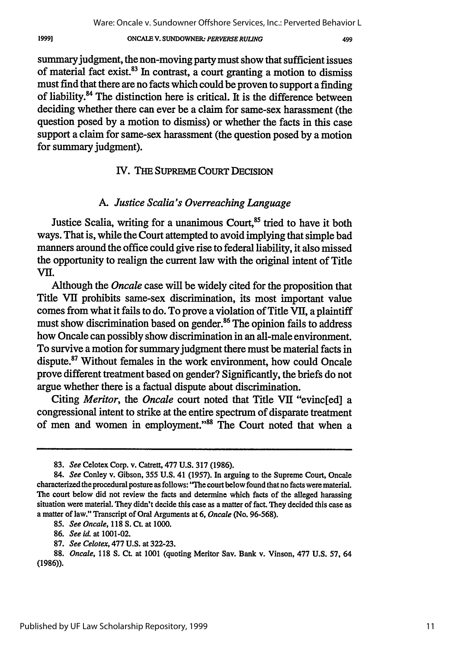#### ONCALE V. SUNDOWNER- *PERVERSE RULING*

499

summary judgment, the non-moving party must show that sufficient issues of material fact exist. $8<sup>3</sup>$  In contrast, a court granting a motion to dismiss must find that there are no facts which could be proven to support a finding of liability.<sup>84</sup> The distinction here is critical. It is the difference between deciding whether there can ever be a claim for same-sex harassment (the question posed by a motion to dismiss) or whether the facts in this case support a claim for same-sex harassment (the question posed by a motion for summary judgment).

### IV. THE SUPREME COURT DECISION

### *A. Justice Scalia's Overreaching Language*

Justice Scalia, writing for a unanimous Court,<sup>85</sup> tried to have it both ways. That is, while the Court attempted to avoid implying that simple bad manners around the office could give rise to federal liability, it also missed the opportunity to realign the current law with the original intent of Title VII.

Although the *Oncale* case will be widely cited for the proposition that Title VII prohibits same-sex discrimination, its most important value comes from what it fails to do. To prove a violation of Title VII, a plaintiff must show discrimination based on gender.<sup>86</sup> The opinion fails to address how Oncale can possibly show discrimination in an all-male environment. To survive a motion for summary judgment there must be material facts in dispute.<sup>87</sup> Without females in the work environment, how could Oncale prove different treatment based on gender? Significantly, the briefs do not argue whether there is a factual dispute about discrimination.

Citing *Meritor, the Oncale* court noted that Title VII "evinc[ed] a congressional intent to strike at the entire spectrum of disparate treatment of men and women in employment."<sup>88</sup> The Court noted that when a

<sup>83.</sup> *See* Celotex Corp. v. Catrett, 477 U.S. 317 (1986).

<sup>84.</sup> *See* Conley v. Gibson, 355 U.S. 41 (1957). In arguing to the Supreme Court, Oncale characterized the procedural posture as follows: "The court below found that no facts were material. The court below did not review the facts and determine which facts of the alleged harassing situation were material. They didn't decide this case as a matter of fact. They decided this case as a matter of law." Transcript of Oral Arguments at 6, *Oncale* (No. 96-568).

*<sup>85.</sup> See Oncale,* 118 **S. Ct.** at 1000.

<sup>86.</sup> *See id.* at 1001-02.

<sup>87.</sup> *See Celotex,* 477 U.S. at 322-23.

<sup>88.</sup> *Oncale,* 118 S. Ct. at 1001 (quoting Meritor Say. Bank v. Vinson, 477 U.S. **57,** 64 (1986)).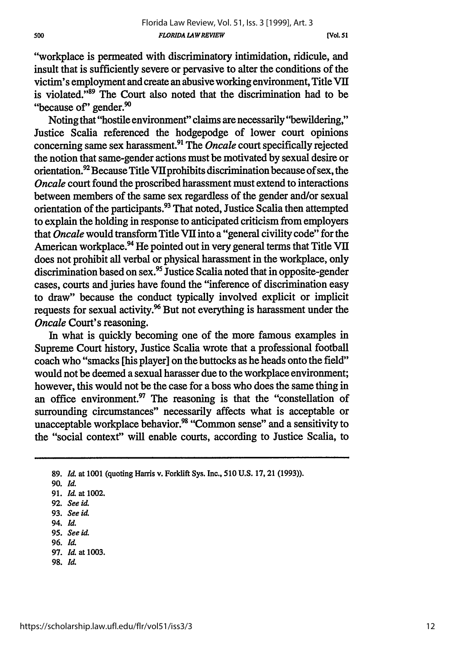**[Vol.** *51*

"workplace is permeated with discriminatory intimidation, ridicule, and insult that is sufficiently severe or pervasive to alter the conditions of the victim's employment and create an abusive working environment, Title VII is violated. $^{389}$  The Court also noted that the discrimination had to be "because of" gender.<sup>90</sup>

Noting that "hostile environment" claims are necessarily "bewildering," Justice Scalia referenced the hodgepodge of lower court opinions concerning same sex harassment.<sup>91</sup> The *Oncale* court specifically rejected the notion that same-gender actions must be motivated by sexual desire or orientation. $^{92}$  Because Title VII prohibits discrimination because of sex, the *Oncale* court found the proscribed harassment must extend to interactions between members of the same sex regardless of the gender and/or sexual orientation of the participants.<sup>93</sup> That noted, Justice Scalia then attempted to explain the holding in response to anticipated criticism from employers that *Oncale* would transform Title VII into a "general civility code" for the American workplace.<sup>94</sup> He pointed out in very general terms that Title VII does not prohibit all verbal or physical harassment in the workplace, only discrimination based on sex.<sup>95</sup> Justice Scalia noted that in opposite-gender cases, courts and juries have found the "inference of discrimination easy to draw" because the conduct typically involved explicit or implicit requests for sexual activity.<sup>96</sup> But not everything is harassment under the *Oncale* Court's reasoning.

In what is quickly becoming one of the more famous examples in Supreme Court history, Justice Scalia wrote that a professional football coach who "smacks [his player] on the buttocks as he heads onto the field" would not be deemed a sexual harasser due to the workplace environment; however, this would not be the case for a boss who does the same thing in an office environment. $\mathfrak{I}$  The reasoning is that the "constellation of surrounding circumstances" necessarily affects what is acceptable or unacceptable workplace behavior.<sup>98</sup> "Common sense" and a sensitivity to the "social context" will enable courts, according to Justice Scalia, to

- 97. *Id.* at 1003.
- **98. Id.**

<sup>89.</sup> *Id.* at 1001 (quoting Harris v. Forklift Sys. Inc., **510** U.S. 17, 21 (1993)).

**<sup>90.</sup>** *Id.*

<sup>91.</sup> *Id.* at 1002.

**<sup>92.</sup>** *See* id.

<sup>93.</sup> *See id.*

<sup>94.</sup> *Id.*

**<sup>95.</sup>** *See id.*

<sup>96.</sup> **Id.**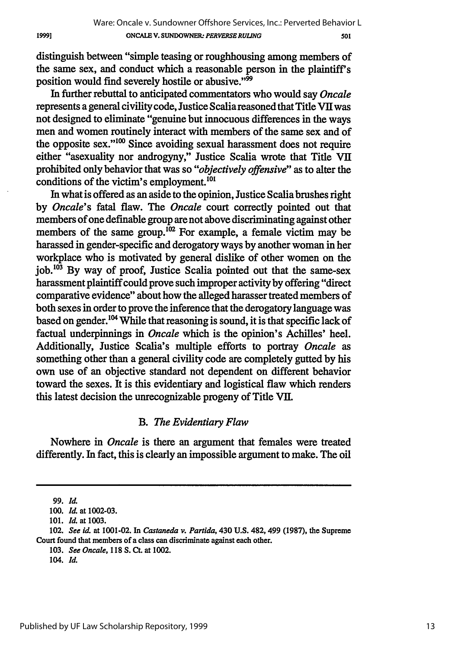distinguish between "simple teasing or roughhousing among members of the same sex, and conduct which a reasonable person in the plaintiff's position would find severely hostile or abusive."<sup>99</sup>

In further rebuttal to anticipated commentators who would say *Oncale* represents a general civility code, Justice Scalia reasoned that Title VII was not designed to eliminate "genuine but innocuous differences in the ways men and women routinely interact with members of the same sex and of the opposite sex." $100$  Since avoiding sexual harassment does not require either "asexuality nor androgyny," Justice Scalia wrote that Title VII prohibited only behavior that was so *"objectively offensive"* as to alter the conditions of the victim's employment. $^{101}$ 

In what is offered as an aside to the opinion, Justice Scalia brushes right by *Oncale's* fatal flaw. The *Oncale* court correctly pointed out that members of one definable group are not above discriminating against other members of the same group.<sup>102</sup> For example, a female victim may be harassed in gender-specific and derogatory ways by another woman in her workplace who is motivated by general dislike of other women on the  $\mathrm{i}$ ob.<sup>103</sup> By way of proof, Justice Scalia pointed out that the same-sex harassment plaintiff could prove such improper activity by offering "direct comparative evidence" about how the alleged harasser treated members of both sexes in order to prove the inference that the derogatory language was based on gender.<sup>104</sup> While that reasoning is sound, it is that specific lack of factual underpinnings in *Oncale* which is the opinion's Achilles' heel. Additionally, Justice Scalia's multiple efforts to portray *Oncale as* something other than a general civility code are completely gutted by his own use of an objective standard not dependent on different behavior toward the sexes. It is this evidentiary and logistical flaw which renders this latest decision the unrecognizable progeny of Title VII.

### *B. The Evidentiary Flaw*

Nowhere in *Oncale* is there an argument that females were treated differently. In fact, this is clearly an impossible argument to make. The oil

<sup>99.</sup> Id.

<sup>100.</sup> *Id.* at 1002-03.

<sup>101.</sup> *Id.* at 1003.

<sup>102.</sup> *See id.* at 1001-02. In *Castaneda v. Partida,* 430 U.S. 482,499 (1987), the Supreme Court found that members of a class can discriminate against each other.

<sup>103.</sup> *See Oncale,* 118 **S. Ct.** at 1002.

*<sup>104.</sup> Id.*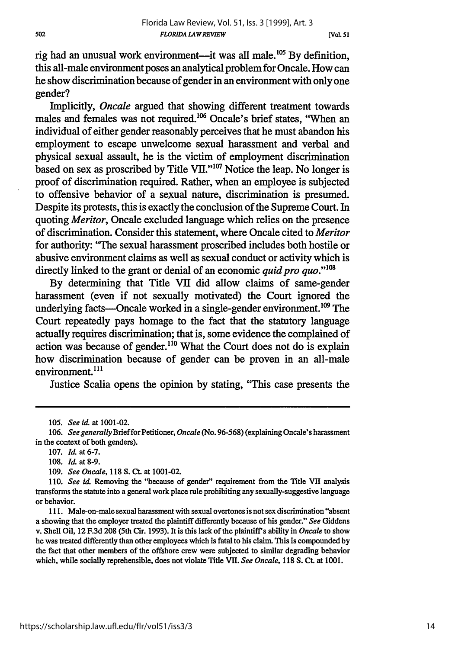rig had an unusual work environment—it was all male.<sup>105</sup> By definition, this all-male environment poses an analytical problem for Oncale. How can he show discrimination because of gender in an environment with only one gender?

Implicitly, *Oncale* argued that showing different treatment towards males and females was not required.<sup>106</sup> Oncale's brief states, "When an individual of either gender reasonably perceives that he must abandon his employment to escape unwelcome sexual harassment and verbal and physical sexual assault, he is the victim of employment discrimination based on sex as proscribed by Title VII." $107$  Notice the leap. No longer is proof of discrimination required. Rather, when an employee is subjected to offensive behavior of a sexual nature, discrimination is presumed. Despite its protests, this is exactly the conclusion of the Supreme Court. In quoting *Meritor,* Oncale excluded language which relies on the presence of discrimination. Consider this statement, where Oncale cited to *Meritor* for authority: "The sexual harassment proscribed includes both hostile or abusive environment claims as well as sexual conduct or activity which is directly linked to the grant or denial of an economic *quid pro quo.*"<sup>108</sup>

By determining that Title VII did allow claims of same-gender harassment (even if not sexually motivated) the Court ignored the underlying facts—Oncale worked in a single-gender environment.<sup>109</sup> The Court repeatedly pays homage to the fact that the statutory language actually requires discrimination; that is, some evidence the complained of action was because of gender.<sup>110</sup> What the Court does not do is explain how discrimination because of gender can be proven in an all-male environment.<sup>111</sup>

Justice Scalia opens the opinion by stating, "This case presents the

<sup>105.</sup> *See id* at 1001-02.

<sup>106.</sup> *See generally Brief for Petitioner, Oncale* (No. *96-568)* (explaining Oncale's harassment in the context of both genders).

<sup>107.</sup> *Id.* at 6-7.

**<sup>108.</sup>** *Id.* at **8-9.**

*<sup>109.</sup> See Oncale,* **118 S. Ct.** at 1001-02.

**<sup>110.</sup>** *See id* Removing the "because of gender" requirement from the Title VII analysis transforms the statute into a general work place rule prohibiting any sexually-suggestive language or behavior.

<sup>111.</sup> Male-on-male sexual harassment with sexual overtones is not sex discrimination "absent a showing that the employer treated the plaintiff differently because of his gender." *See* Giddens v. Shell Oil, 12 F.3d 208 (5th Cir. 1993). It is this lack of the plaintiff's ability in *Oncale* to show he was treated differently than other employees which is fatal to his claim. This is compounded by the fact that other members of the offshore crew were subjected to similar degrading behavior which, while socially reprehensible, does not violate Title VII. *See Oncale,* 118 S. **Ct.** at 1001.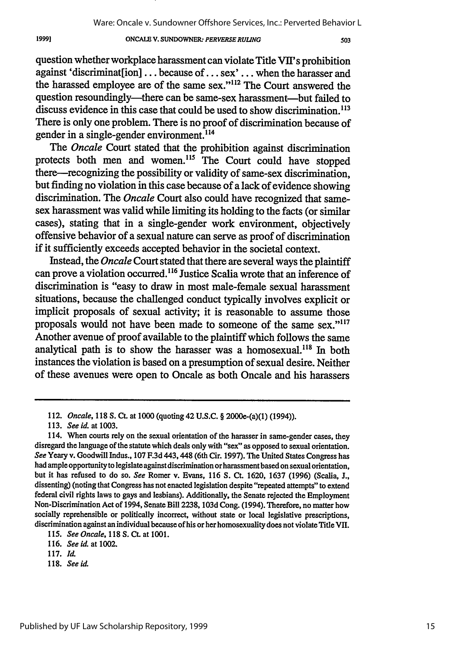#### **ONCALE V. SUNDOWNER.** *PERVERSE RULING*

503

question whether workplace harassment can violate Title VII's prohibition against 'discriminat[ion] ... because of... sex' **...** when the harasser and the harassed employee are of the same sex."<sup>112</sup> The Court answered the question resoundingly—there can be same-sex harassment—but failed to discuss evidence in this case that could be used to show discrimination.<sup>113</sup> There is only one problem. There is no proof of discrimination because of gender in a single-gender environment.<sup>114</sup>

The *Oncale* Court stated that the prohibition against discrimination protects both men and women.<sup>115</sup> The Court could have stopped there—recognizing the possibility or validity of same-sex discrimination, but finding no violation in this case because of a lack of evidence showing discrimination. The *Oncale* Court also could have recognized that samesex harassment was valid while limiting its holding to the facts (or similar cases), stating that in a single-gender work environment, objectively offensive behavior of a sexual nature can serve as proof of discrimination if it sufficiently exceeds accepted behavior in the societal context.

Instead, the *Oncale* Court stated that there are several ways the plaintiff can prove a violation occurred.<sup>116</sup> Justice Scalia wrote that an inference of discrimination is "easy to draw in most male-female sexual harassment situations, because the challenged conduct typically involves explicit or implicit proposals of sexual activity; it is reasonable to assume those proposals would not have been made to someone of the same sex."<sup>117</sup> Another avenue of proof available to the plaintiff which follows the same analytical path is to show the harasser was a homosexual.<sup>118</sup> In both instances the violation is based on a presumption of sexual desire. Neither of these avenues were open to Oncale as both Oncale and his harassers

<sup>112.</sup> *Oncale,* 118 **S. Ct.** at 1000 (quoting 42 U.S.C. § 2000e-(a)(1) (1994)).

<sup>113.</sup> *See id.* at 1003.

<sup>114.</sup> When courts rely on the sexual orientation of the harasser in same-gender cases, they disregard the language of the statute which deals only with "sex" as opposed to sexual orientation. *See* Yeary v. Goodwill Indus., 107 F.3d 443,448 (6th Cir. 1997). The United States Congress has had ample opportunity to legislate against discrimination or harassment based on sexual orientation, but it has refused to do so. *See* Romer v. Evans, 116 **S.** Ct. 1620, 1637 (1996) (Scalia, **J.,** dissenting) (noting that Congress has not enacted legislation despite "repeated attempts" to extend federal civil rights laws to gays and lesbians). Additionally, the Senate rejected the Employment Non-Discrimination Act of 1994, Senate Bill 2238, 103d Cong. (1994). Therefore, no matter how socially reprehensible or politically incorrect, without state or local legislative prescriptions, discrimination against an individual because of his or her homosexuality does not violate Title VII.

<sup>115.</sup> *See Oncale,* 118 **S. Ct.** at 1001.

<sup>116.</sup> *Seeid.* at 1002.

<sup>117.</sup> **id**

**<sup>118.</sup>** *See id.*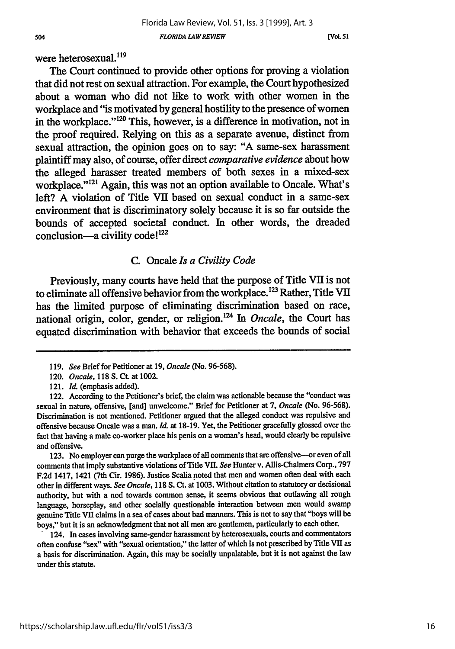[VoL **51**

were heterosexual. $^{119}$ 

The Court continued to provide other options for proving a violation that did not rest on sexual attraction. For example, the Court hypothesized about a woman who did not like to work with other women in the workplace and "is motivated by general hostility to the presence of women in the workplace."'120 This, however, is a difference in motivation, not in the proof required. Relying on this as a separate avenue, distinct from sexual attraction, the opinion goes on to say: "A same-sex harassment plaintiff may also, of course, offer direct *comparative evidence* about how the alleged harasser treated members of both sexes in a mixed-sex workplace."<sup>121</sup> Again, this was not an option available to Oncale. What's left? A violation of Title VII based on sexual conduct in a same-sex environment that is discriminatory solely because it is so far outside the bounds of accepted societal conduct. In other words, the dreaded conclusion—a civility code! $122$ 

### C. Oncale *Is a Civility Code*

Previously, many courts have held that the purpose of Title VII is not to eliminate all offensive behavior from the workplace.<sup>123</sup> Rather, Title VII has the limited purpose of eliminating discrimination based on race, national origin, color, gender, or religion.'24 In *Oncale,* the Court has equated discrimination with behavior that exceeds the bounds of social

123. No employer can purge the workplace of all comments that are offensive-or even of all comments that imply substantive violations of Title VII. *See* Hunter v. Allis-Chalmers Corp., 797 F.2d 1417, 1421 (7th Cir. 1986). Justice Scalia noted that men and women often deal with each other in different ways. *See Oncale,* 118 **S.** Ct. at 1003. Without citation to statutory or decisional authority, but with a nod towards common sense, it seems obvious that outlawing all rough language, horseplay, and other socially questionable interaction between men would swamp genuine Title VII claims in a sea of cases about bad manners. This is not to say that "boys will be boys," but it is an acknowledgment that not all men are gentlemen, particularly to each other.

124. In cases involving same-gender harassment **by** heterosexuals, courts and commentators often confuse "sex" with "sexual orientation," the latter of which is not prescribed by Title VII as a basis for discrimination. Again, this may be socially unpalatable, but it is not against the law under this statute.

<sup>119.</sup> *See* Brief for Petitioner at 19, *Oncale* (No. 96-568).

<sup>120.</sup> *Oncale,* 118 **S.** Ct. at 1002.

<sup>121.</sup> *Id.* (emphasis added).

<sup>122.</sup> According to the Petitioner's brief, the claim was actionable because the "conduct was sexual in nature, offensive, [and] unwelcome." Brief for Petitioner at 7, *Oncale* (No. 96-568). Discrimination is not mentioned. Petitioner argued that the alleged conduct was repulsive and offensive because Oncale was a man. *Id.* at 18-19. Yet, the Petitioner gracefully glossed over the fact that having a male co-worker place his penis on a woman's head, would clearly be repulsive and offensive.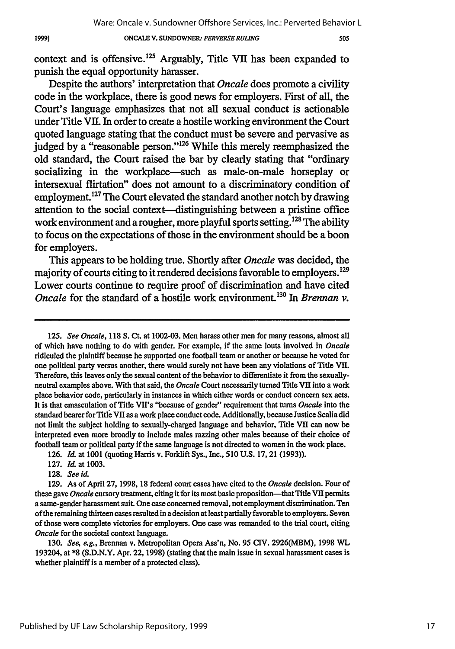#### **ONCALE V.** SUNDOWNER: *PERVERSE RULING*

505

context and is offensive.<sup>125</sup> Arguably, Title VII has been expanded to punish the equal opportunity harasser.

Despite the authors' interpretation that *Oncale* does promote a civility code in the workplace, there is good news for employers. First of all, the Court's language emphasizes that not all sexual conduct is actionable under Title **VII.** In order to create a hostile working environment the Court quoted language stating that the conduct must be severe and pervasive as judged by a "reasonable person."<sup>126</sup> While this merely reemphasized the old standard, the Court raised the bar **by** clearly stating that "ordinary socializing in the workplace-such as male-on-male horseplay or intersexual flirtation" does not amount to a discriminatory condition of employment. 27 The Court elevated the standard another notch **by** drawing attention to the social context--distinguishing between a pristine office work environment and a rougher, more playful sports setting. 128 The ability to focus on the expectations of those in the environment should be a boon for employers.

This appears to be holding true. Shortly after *Oncale* was decided, the majority of courts citing to it rendered decisions favorable to employers.<sup>129</sup> Lower courts continue to require proof of discrimination and have cited *Oncale* for the standard of a hostile work environment.<sup>130</sup> In *Brennan v.* 

125. *See Oncale,* 118 S. Ct. at 1002-03. Men harass other men for many reasons, almost all of which have nothing to do with gender. For example, if the same louts involved in *Oncale* ridiculed the plaintiff because he supported one football team or another or because he voted for one political party versus another, there would surely not have been any violations of Title VII. Therefore, this leaves only the sexual content of the behavior to differentiate it from the sexuallyneutral examples above. With that said, the *Oncale* Court necessarily turned Title VII into a work place behavior code, particularly in instances in which either words or conduct concern sex acts. It is that emasculation of Title VlI's "because of gender" requirement that turns *Oncale* into the standard bearer for Title VII as a work place conduct code. Additionally, because Justice Scalia did not limit the subject holding to sexually-charged language and behavior, Title VII can now be interpreted even more broadly to include males razzing other males because of their choice of football team or political party if the same language is not directed to women in the work place.

130. *See, e.g.,* Brennan v. Metropolitan Opera Ass'n, No. 95 CIV. 2926(MBM), 1998 WL 193204, at \*8 (S.D.N.Y. Apr. 22, 1998) (stating that the main issue in sexual harassment cases is whether plaintiff is a member of a protected class).

<sup>126.</sup> *Id.* at 1001 (quoting Harris v. Forklift Sys., Inc., 510 U.S. 17,21 (1993)).

<sup>127.</sup> *Il* at **1003.**

<sup>128.</sup> *See id.*

<sup>129.</sup> As of April 27, 1998, 18 federal court cases have cited to the *Oncale* decision. Four of these gave *Oncale* cursory treatment, citing it for its most basic proposition-that Title VII permits a same-gender harassment suit. One case concerned removal, not employment discrimination. Ten of the remaining thirteen cases resulted in a decision at least partially favorable to employers. Seven of those were complete victories for employers. One case was remanded to the trial court, citing *Oncale* for the societal context language.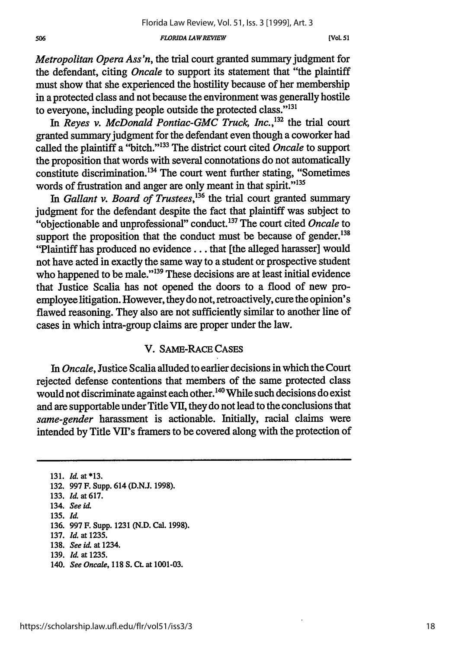#### *FLORIDA LAWREVIEW*

*Metropolitan Opera Ass'n,* the trial court granted summary judgment for the defendant, citing *Oncale* to support its statement that "the plaintiff must show that she experienced the hostility because of her membership in a protected class and not because the environment was generally hostile to everyone, including people outside the protected class."<sup>131</sup>

In *Reves v. McDonald Pontiac-GMC Truck, Inc.*,<sup>132</sup> the trial court granted summary judgment for the defendant even though a coworker had called the plaintiff a "bitch." '133 The district court cited *Oncale* to support the proposition that words with several connotations do not automatically constitute discrimination.<sup>134</sup> The court went further stating, "Sometimes words of frustration and anger are only meant in that spirit."<sup>135</sup>

In *Gallant v. Board of Trustees,'36* the trial court granted summary judgment for the defendant despite the fact that plaintiff was subject to "objectionable and unprofessional" conduct. 37 The court cited *Oncale* to support the proposition that the conduct must be because of gender.<sup>138</sup> "Plaintiff has produced no evidence.., that [the alleged harasser] would not have acted in exactly the same way to a student or prospective student who happened to be male."<sup>139</sup> These decisions are at least initial evidence that Justice Scalia has not opened the doors to a flood of new proemployee litigation. However, they do not, retroactively, cure the opinion's flawed reasoning. They also are not sufficiently similar to another line of cases in which intra-group claims are proper under the law.

#### V. **SAME-RAcE** CASES

In *Oncale,* Justice Scalia alluded to earlier decisions in which the Court rejected defense contentions that members of the same protected class would not discriminate against each other. **"** While such decisions do exist and are supportable under Title VII, they do not lead to the conclusions that *same-gender* harassment is actionable. Initially, racial claims were intended by Title VI's framers to be covered along with the protection of

**131.** *Id.* at \*13. **132. 997** F. Supp. 614 **(D.N.J. 1998). 133.** *U* at **617.** 134. *See id.* 135. *Id.* **136. 997** F. Supp. **1231 (N.D.** Cal. 1998). **137.** *Id.* at **1235. 138.** *See id. at* 1234. **139.** *Id.* at **1235.** 140. *See Oncale,* **118 S. Ct.** at 1001-03.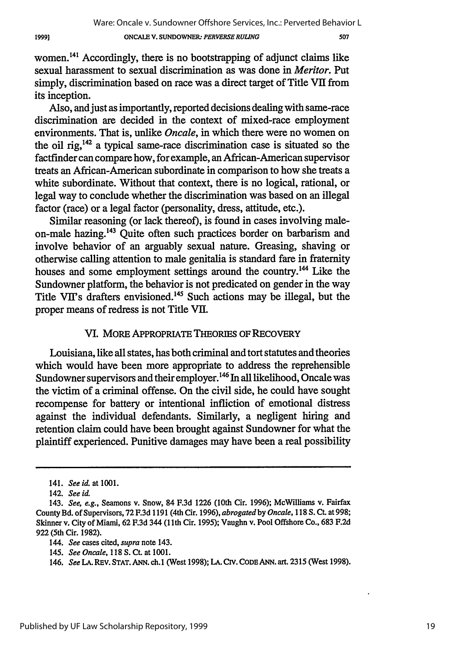1999]

## **ONCALE V. SUNDOWNER** *PERVERSE RULING*

women.14' Accordingly, there is no bootstrapping of adjunct claims like sexual harassment to sexual discrimination as was done in *Meritor. Put* simply, discrimination based on race was a direct target of Title VII from its inception.

Also, and just as importantly, reported decisions dealing with same-race discrimination are decided in the context of mixed-race employment environments. That is, unlike *Oncale,* in which there were no women on the oil rig, $142$  a typical same-race discrimination case is situated so the factfinder can compare how, for example, an African-American supervisor treats an African-American subordinate in comparison to how she treats a white subordinate. Without that context, there is no logical, rational, or legal way to conclude whether the discrimination was based on an illegal factor (race) or a legal factor (personality, dress, attitude, etc.).

Similar reasoning (or lack thereof), is found in cases involving maleon-male hazing. 43 Quite often such practices border on barbarism and involve behavior of an arguably sexual nature. Greasing, shaving or otherwise calling attention to male genitalia is standard fare in fraternity houses and some employment settings around the country.<sup>144</sup> Like the Sundowner platform, the behavior is not predicated on gender in the way Title VII's drafters envisioned. 45 Such actions may be illegal, but the proper means of redress is not Title VII.

### VI. MORE APPROPRIATE THEORIES OF RECOVERY

Louisiana, like all states, has both criminal and tort statutes and theories which would have been more appropriate to address the reprehensible Sundowner supervisors and their employer.<sup>146</sup> In all likelihood, Oncale was the victim of a criminal offense. On the civil side, he could have sought recompense for battery or intentional infliction of emotional distress against the individual defendants. Similarly, a negligent hiring and retention claim could have been brought against Sundowner for what the plaintiff experienced. Punitive damages may have been a real possibility

<sup>141.</sup> *See id.* at 1001.

<sup>142.</sup> *See id.*

<sup>143.</sup> *See, e.g.,* Seamons v. Snow, 84 F.3d 1226 (10th Cir. 1996); McWilliams v. Fairfax County Bd. of Supervisors, 72 F.3d 1191 (4th Cir. 1996), *abrogated by Oncale,* 118 S. Ct. at 998; Skinner v. City of Miami, 62 F.3d 344 (1 th Cir. 1995); Vaughn v. Pool Offshore Co., 683 F.2d 922 (5th Cir. 1982).

*<sup>144.</sup> See* cases cited, *supra* note 143.

<sup>145.</sup> See Oncale, 118 S. Ct. at 1001.

<sup>146.</sup> *See* LA. REv. **STAT. ANN.** ch.1 (West 1998); LA. CIr. **CODE ANN.** art. 2315 (West 1998).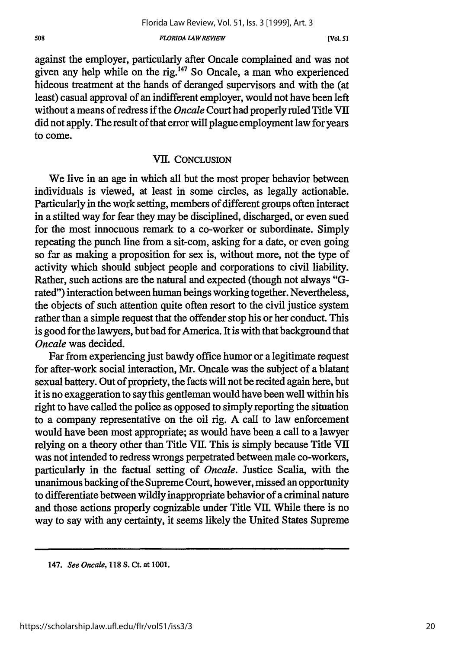*FLORIDA LAW REVIEW*

against the employer, particularly after Oncale complained and was not given any help while on the rig. 47 So Oncale, a man who experienced hideous treatment at the hands of deranged supervisors and with the (at least) casual approval of an indifferent employer, would not have been left without a means of redress if the *Oncale* Court had properly ruled Title VII did not apply. The result of that error will plague employment law for years to come.

### VII. CONCLUSION

We live in an age in which all but the most proper behavior between individuals is viewed, at least in some circles, as legally actionable. Particularly in the work setting, members of different groups often interact in a stilted way for fear they may be disciplined, discharged, or even sued for the most innocuous remark to a co-worker or subordinate. Simply repeating the punch line from a sit-com, asking for a date, or even going so far as making a proposition for sex is, without more, not the type of activity which should subject people and corporations to civil liability. Rather, such actions are the natural and expected (though not always "Grated") interaction between human beings working together. Nevertheless, the objects of such attention quite often resort to the civil justice system rather than a simple request that the offender stop his or her conduct. This is good for the lawyers, but bad for America. It is with that background that *Oncale* was decided.

Far from experiencing just bawdy office humor or a legitimate request for after-work social interaction, Mr. Oncale was the subject of a blatant sexual battery. Out of propriety, the facts will not be recited again here, but it is no exaggeration to say this gentleman would have been well within his right to have called the police as opposed to simply reporting the situation to a company representative on the oil rig. A call to law enforcement would have been most appropriate; as would have been a call to a lawyer relying on a theory other than Title VII. This is simply because Title VII was not intended to redress wrongs perpetrated between male co-workers, particularly in the factual setting of *Oncale.* Justice Scalia, with the unanimous backing of the Supreme Court, however, missed an opportunity to differentiate between wildly inappropriate behavior of a criminal nature and those actions properly cognizable under Title VII. While there is no way to say with any certainty, it seems likely the United States Supreme

<sup>147.</sup> *See Oncale,* **118 S. Ct.** at 1001.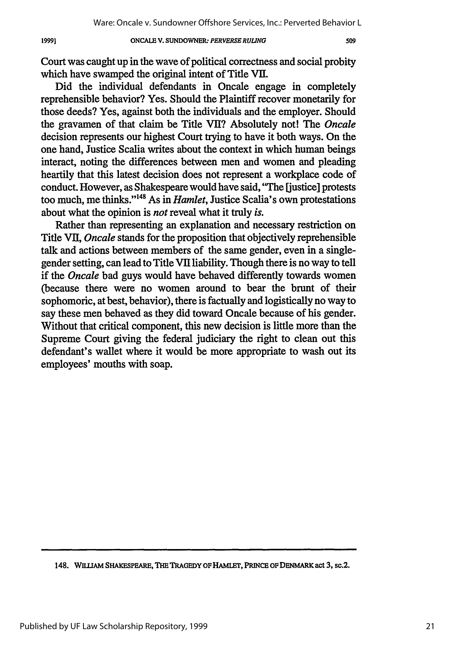#### **ONCALE V. SUNDOWNER.** *PERVERSE RULING* **19991 509**

Court was caught up in the wave of political correctness and social probity which have swamped the original intent of Title *VIL*

Did the individual defendants in Oncale engage in completely reprehensible behavior? Yes. Should the Plaintiff recover monetarily for those deeds? Yes, against both the individuals and the employer. Should the gravamen of that claim be Title VII? Absolutely not! The *Oncale* decision represents our highest Court trying to have it both ways. On the one hand, Justice Scalia writes about the context in which human beings interact, noting the differences between men and women and pleading heartily that this latest decision does not represent a workplace code of conduct. However, as Shakespeare would have said, "The justice] protests too much, me thinks."<sup>148</sup> As in *Hamlet*, Justice Scalia's own protestations about what the opinion is *not* reveal what it truly *is.*

Rather than representing an explanation and necessary restriction on Title **VIL** *Oncale* stands for the proposition that objectively reprehensible talk and actions between members of the same gender, even in a singlegender setting, can lead to Title VII liability. Though there is no way to tell if the *Oncale* bad guys would have behaved differently towards women (because there were no women around to bear the brunt of their sophomoric, at best, behavior), there is factually and logistically no way to say these men behaved as they did toward Oncale because of his gender. Without that critical component, this new decision is little more than the Supreme Court giving the federal judiciary the right to clean out this defendant's wallet where it would be more appropriate to wash out its employees' mouths with soap.

<sup>148.</sup> **WiLIAM SHAKESPEARE, THE TRAGEDY OF HAMLET, PRINCE OF DENMARK act 3,** sc.2.